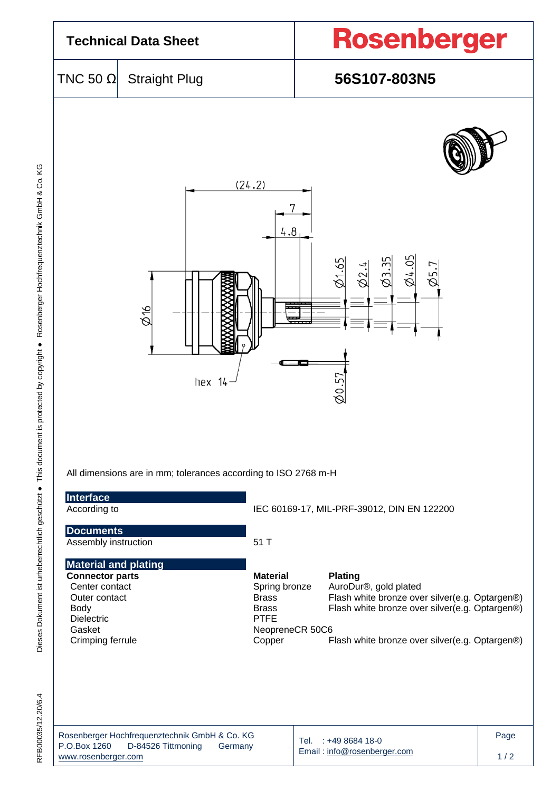

| Rosenberger Hochfrequenztechnik GmbH & Co. KG |                    |         |  |  |  |  |  |  |
|-----------------------------------------------|--------------------|---------|--|--|--|--|--|--|
| P.O.Box 1260                                  | D-84526 Tittmoning | Germany |  |  |  |  |  |  |
| www.rosenberger.com                           |                    |         |  |  |  |  |  |  |

Tel. : +49 8684 18-0 Email [: info@rosenberger.com](mailto:info@rosenberger.com)